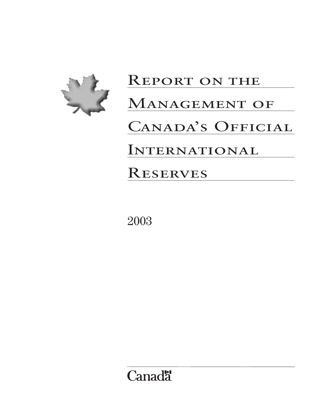

# REPORT ON THE MANAGEMENT OF CANADA'S OFFICIAL **INTERNATIONAL RESERVES**

2003

**Canadä**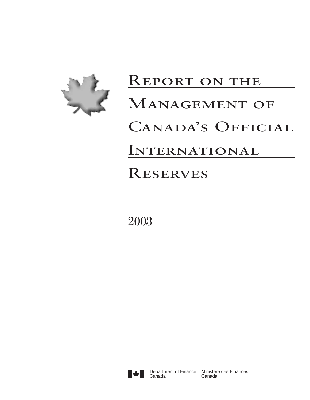

# REPORT ON THE MANAGEMENT OF CANADA'S OFFICIAL International **RESERVES**

2003

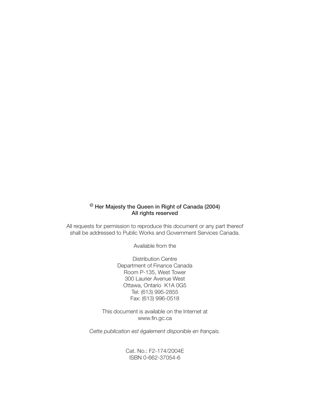# $<sup>©</sup>$  Her Majesty the Queen in Right of Canada (2004)</sup> All rights reserved

All requests for permission to reproduce this document or any part thereof shall be addressed to Public Works and Government Services Canada.

Available from the

Distribution Centre Department of Finance Canada Room P-135, West Tower 300 Laurier Avenue West Ottawa, Ontario K1A 0G5 Tel: (613) 995-2855 Fax: (613) 996-0518

This document is available on the Internet at www.fin.gc.ca

*Cette publication est également disponible en français.*

Cat. No.: F2-174/2004E ISBN 0-662-37054-6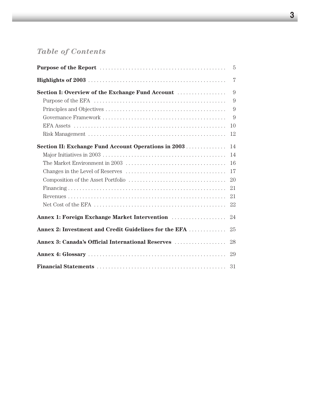# *Table of Contents*

|                                                                         | 5              |
|-------------------------------------------------------------------------|----------------|
|                                                                         | $\overline{7}$ |
| <b>Section I: Overview of the Exchange Fund Account Account Account</b> | 9              |
|                                                                         | 9              |
|                                                                         | 9              |
|                                                                         | 9              |
|                                                                         | 10             |
|                                                                         | 12             |
| <b>Section II: Exchange Fund Account Operations in 2003</b>             | 14             |
|                                                                         | 14             |
|                                                                         | 16             |
|                                                                         | 17             |
|                                                                         | 20             |
|                                                                         | 21             |
|                                                                         | 21             |
|                                                                         | 22             |
| Annex 1: Foreign Exchange Market Intervention                           | 24             |
| Annex 2: Investment and Credit Guidelines for the EFA                   | 25             |
| Annex 3: Canada's Official International Reserves                       | 28             |
|                                                                         | 29             |
|                                                                         | 31             |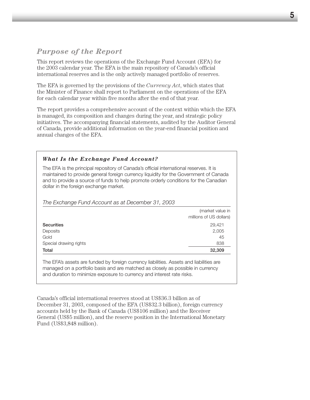# *Purpose of the Report*

This report reviews the operations of the Exchange Fund Account (EFA) for the 2003 calendar year. The EFA is the main repository of Canada's official international reserves and is the only actively managed portfolio of reserves.

The EFA is governed by the provisions of the *Currency Act*, which states that the Minister of Finance shall report to Parliament on the operations of the EFA for each calendar year within five months after the end of that year.

The report provides a comprehensive account of the context within which the EFA is managed, its composition and changes during the year, and strategic policy initiatives. The accompanying financial statements, audited by the Auditor General of Canada, provide additional information on the year-end financial position and annual changes of the EFA.

| What Is the Exchange Fund Account?                                                                                               |                                                                                                                                                                               |
|----------------------------------------------------------------------------------------------------------------------------------|-------------------------------------------------------------------------------------------------------------------------------------------------------------------------------|
| The EFA is the principal repository of Canada's official international reserves. It is<br>dollar in the foreign exchange market. | maintained to provide general foreign currency liquidity for the Government of Canada<br>and to provide a source of funds to help promote orderly conditions for the Canadian |
| The Exchange Fund Account as at December 31, 2003                                                                                |                                                                                                                                                                               |
|                                                                                                                                  | (market value in<br>millions of US dollars)                                                                                                                                   |
| <b>Securities</b>                                                                                                                | 29.421                                                                                                                                                                        |
| Deposits                                                                                                                         | 2.005                                                                                                                                                                         |
| Gold                                                                                                                             | 45                                                                                                                                                                            |
| Special drawing rights                                                                                                           | 838                                                                                                                                                                           |
| Total                                                                                                                            | 32,309                                                                                                                                                                        |

The EFA's assets are funded by foreign currency liabilities. Assets and liabilities are managed on a portfolio basis and are matched as closely as possible in currency and duration to minimize exposure to currency and interest rate risks.

Canada's official international reserves stood at US\$36.3 billion as of December 31, 2003, composed of the EFA (US\$32.3 billion), foreign currency accounts held by the Bank of Canada (US\$106 million) and the Receiver General (US\$5 million), and the reserve position in the International Monetary Fund (US\$3,848 million).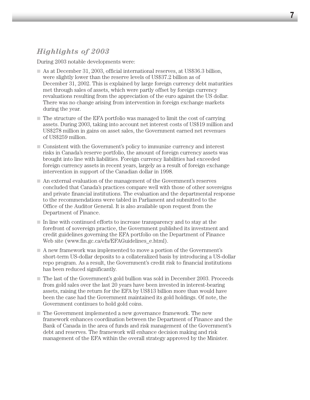# *Highlights of 2003*

During 2003 notable developments were:

- As at December 31, 2003, official international reserves, at US\$36.3 billion, were slightly lower than the reserve levels of US\$37.2 billion as of December 31, 2002. This is explained by large foreign currency debt maturities met through sales of assets, which were partly offset by foreign currency revaluations resulting from the appreciation of the euro against the US dollar. There was no change arising from intervention in foreign exchange markets during the year.
- The structure of the EFA portfolio was managed to limit the cost of carrying assets. During 2003, taking into account net interest costs of US\$19 million and US\$278 million in gains on asset sales, the Government earned net revenues of US\$259 million.
- Consistent with the Government's policy to immunize currency and interest risks in Canada's reserve portfolio, the amount of foreign currency assets was brought into line with liabilities. Foreign currency liabilities had exceeded foreign currency assets in recent years, largely as a result of foreign exchange intervention in support of the Canadian dollar in 1998.
- An external evaluation of the management of the Government's reserves concluded that Canada's practices compare well with those of other sovereigns and private financial institutions. The evaluation and the departmental response to the recommendations were tabled in Parliament and submitted to the Office of the Auditor General. It is also available upon request from the Department of Finance.
- In line with continued efforts to increase transparency and to stay at the forefront of sovereign practice, the Government published its investment and credit guidelines governing the EFA portfolio on the Department of Finance Web site (www.fin.gc.ca/efa/EFAGuidelines e.html).
- A new framework was implemented to move a portion of the Government's short-term US-dollar deposits to a collateralized basis by introducing a US-dollar repo program. As a result, the Government's credit risk to financial institutions has been reduced significantly.
- The last of the Government's gold bullion was sold in December 2003. Proceeds from gold sales over the last 20 years have been invested in interest-bearing assets, raising the return for the EFA by US\$13 billion more than would have been the case had the Government maintained its gold holdings. Of note, the Government continues to hold gold coins.
- The Government implemented a new governance framework. The new framework enhances coordination between the Department of Finance and the Bank of Canada in the area of funds and risk management of the Government's debt and reserves. The framework will enhance decision making and risk management of the EFA within the overall strategy approved by the Minister.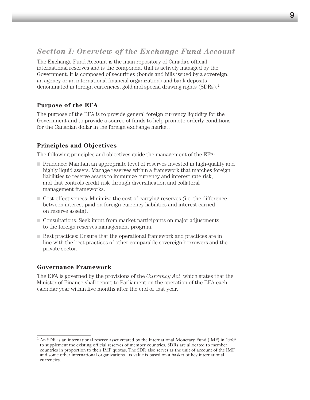# *Section I: Overview of the Exchange Fund Account*

The Exchange Fund Account is the main repository of Canada's official international reserves and is the component that is actively managed by the Government. It is composed of securities (bonds and bills issued by a sovereign, an agency or an international financial organization) and bank deposits denominated in foreign currencies, gold and special drawing rights (SDRs).<sup>1</sup>

# **Purpose of the EFA**

The purpose of the EFA is to provide general foreign currency liquidity for the Government and to provide a source of funds to help promote orderly conditions for the Canadian dollar in the foreign exchange market.

# **Principles and Objectives**

The following principles and objectives guide the management of the EFA:

- Prudence: Maintain an appropriate level of reserves invested in high-quality and highly liquid assets. Manage reserves within a framework that matches foreign liabilities to reserve assets to immunize currency and interest rate risk, and that controls credit risk through diversification and collateral management frameworks.
- Cost-effectiveness: Minimize the cost of carrying reserves (i.e. the difference between interest paid on foreign currency liabilities and interest earned on reserve assets).
- Consultations: Seek input from market participants on major adjustments to the foreign reserves management program.
- Best practices: Ensure that the operational framework and practices are in line with the best practices of other comparable sovereign borrowers and the private sector.

# **Governance Framework**

The EFA is governed by the provisions of the *Currency Act*, which states that the Minister of Finance shall report to Parliament on the operation of the EFA each calendar year within five months after the end of that year.

<sup>1</sup> An SDR is an international reserve asset created by the International Monetary Fund (IMF) in 1969 to supplement the existing official reserves of member countries. SDRs are allocated to member countries in proportion to their IMF quotas. The SDR also serves as the unit of account of the IMF and some other international organizations. Its value is based on a basket of key international currencies.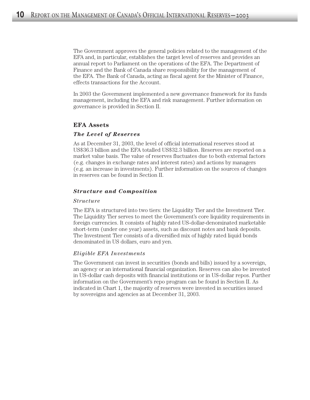The Government approves the general policies related to the management of the EFA and, in particular, establishes the target level of reserves and provides an annual report to Parliament on the operations of the EFA. The Department of Finance and the Bank of Canada share responsibility for the management of the EFA. The Bank of Canada, acting as fiscal agent for the Minister of Finance, effects transactions for the Account.

In 2003 the Government implemented a new governance framework for its funds management, including the EFA and risk management. Further information on governance is provided in Section II.

## **EFA Assets**

#### *The Level of Reserves*

As at December 31, 2003, the level of official international reserves stood at US\$36.3 billion and the EFA totalled US\$32.3 billion. Reserves are reported on a market value basis. The value of reserves fluctuates due to both external factors (e.g. changes in exchange rates and interest rates) and actions by managers (e.g. an increase in investments). Further information on the sources of changes in reserves can be found in Section II.

## *Structure and Composition*

#### *Structure*

The EFA is structured into two tiers: the Liquidity Tier and the Investment Tier. The Liquidity Tier serves to meet the Government's core liquidity requirements in foreign currencies. It consists of highly rated US-dollar-denominated marketable short-term (under one year) assets, such as discount notes and bank deposits. The Investment Tier consists of a diversified mix of highly rated liquid bonds denominated in US dollars, euro and yen.

#### *Eligible EFA Investments*

The Government can invest in securities (bonds and bills) issued by a sovereign, an agency or an international financial organization. Reserves can also be invested in US-dollar cash deposits with financial institutions or in US-dollar repos. Further information on the Government's repo program can be found in Section II. As indicated in Chart 1, the majority of reserves were invested in securities issued by sovereigns and agencies as at December 31, 2003.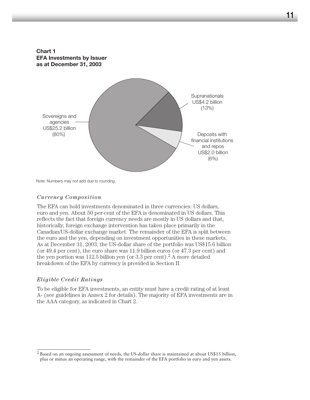

Note: Numbers may not add due to rounding.

#### *Currency Composition*

The EFA can hold investments denominated in three currencies: US dollars, euro and yen. About 50 per cent of the EFA is denominated in US dollars. This reflects the fact that foreign currency needs are mostly in US dollars and that, historically, foreign exchange intervention has taken place primarily in the Canadian/US-dollar exchange market. The remainder of the EFA is split between the euro and the yen, depending on investment opportunities in these markets. As at December 31, 2003, the US-dollar share of the portfolio was US\$15.6 billion (or 49.4 per cent), the euro share was 11.9 billion euros (or 47.3 per cent) and the yen portion was 112.5 billion yen (or 3.3 per cent).<sup>2</sup> A more detailed breakdown of the EFA by currency is provided in Section II.

#### *Eligible Credit Ratings*

To be eligible for EFA investments, an entity must have a credit rating of at least A- (see guidelines in Annex 2 for details). The majority of EFA investments are in the AAA category, as indicated in Chart 2.

<sup>&</sup>lt;sup>2</sup> Based on an ongoing assessment of needs, the US-dollar share is maintained at about US\$15 billion, plus or minus an operating range, with the remainder of the EFA portfolio in euro and yen assets.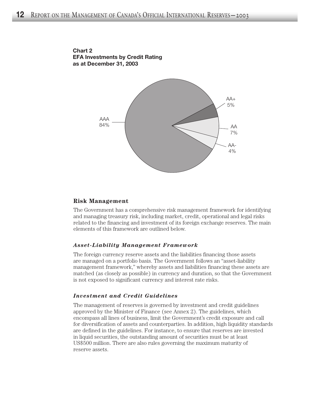

#### **Risk Management**

The Government has a comprehensive risk management framework for identifying and managing treasury risk, including market, credit, operational and legal risks related to the financing and investment of its foreign exchange reserves. The main elements of this framework are outlined below.

#### *Asset-Liability Management Framework*

The foreign currency reserve assets and the liabilities financing those assets are managed on a portfolio basis. The Government follows an "asset-liability management framework," whereby assets and liabilities financing these assets are matched (as closely as possible) in currency and duration, so that the Government is not exposed to significant currency and interest rate risks.

#### *Investment and Credit Guidelines*

The management of reserves is governed by investment and credit guidelines approved by the Minister of Finance (see Annex 2). The guidelines, which encompass all lines of business, limit the Government's credit exposure and call for diversification of assets and counterparties. In addition, high liquidity standards are defined in the guidelines. For instance, to ensure that reserves are invested in liquid securities, the outstanding amount of securities must be at least US\$500 million. There are also rules governing the maximum maturity of reserve assets.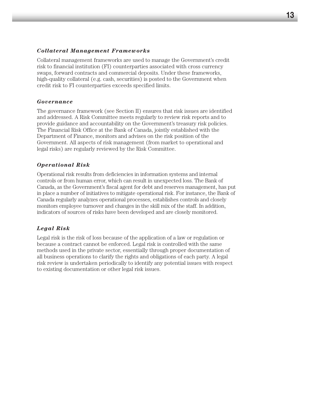#### *Collateral Management Frameworks*

Collateral management frameworks are used to manage the Government's credit risk to financial institution (FI) counterparties associated with cross currency swaps, forward contracts and commercial deposits. Under these frameworks, high-quality collateral (e.g. cash, securities) is posted to the Government when credit risk to FI counterparties exceeds specified limits.

#### *Governance*

The governance framework (see Section II) ensures that risk issues are identified and addressed. A Risk Committee meets regularly to review risk reports and to provide guidance and accountability on the Government's treasury risk policies. The Financial Risk Office at the Bank of Canada, jointly established with the Department of Finance, monitors and advises on the risk position of the Government. All aspects of risk management (from market to operational and legal risks) are regularly reviewed by the Risk Committee.

## *Operational Risk*

Operational risk results from deficiencies in information systems and internal controls or from human error, which can result in unexpected loss. The Bank of Canada, as the Government's fiscal agent for debt and reserves management, has put in place a number of initiatives to mitigate operational risk. For instance, the Bank of Canada regularly analyzes operational processes, establishes controls and closely monitors employee turnover and changes in the skill mix of the staff. In addition, indicators of sources of risks have been developed and are closely monitored.

## *Legal Risk*

Legal risk is the risk of loss because of the application of a law or regulation or because a contract cannot be enforced. Legal risk is controlled with the same methods used in the private sector, essentially through proper documentation of all business operations to clarify the rights and obligations of each party. A legal risk review is undertaken periodically to identify any potential issues with respect to existing documentation or other legal risk issues.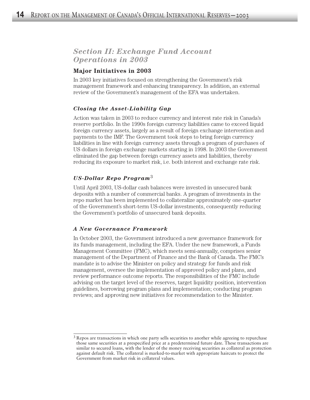# *Section II: Exchange Fund Account Operations in 2003*

# **Major Initiatives in 2003**

In 2003 key initiatives focused on strengthening the Government's risk management framework and enhancing transparency. In addition, an external review of the Government's management of the EFA was undertaken.

# *Closing the Asset-Liability Gap*

Action was taken in 2003 to reduce currency and interest rate risk in Canada's reserve portfolio. In the 1990s foreign currency liabilities came to exceed liquid foreign currency assets, largely as a result of foreign exchange intervention and payments to the IMF. The Government took steps to bring foreign currency liabilities in line with foreign currency assets through a program of purchases of US dollars in foreign exchange markets starting in 1998. In 2003 the Government eliminated the gap between foreign currency assets and liabilities, thereby reducing its exposure to market risk, i.e. both interest and exchange rate risk.

# *US-Dollar Repo Program*<sup>3</sup>

Until April 2003, US-dollar cash balances were invested in unsecured bank deposits with a number of commercial banks. A program of investments in the repo market has been implemented to collateralize approximately one-quarter of the Government's short-term US-dollar investments, consequently reducing the Government's portfolio of unsecured bank deposits.

## *A New Governance Framework*

In October 2003, the Government introduced a new governance framework for its funds management, including the EFA. Under the new framework, a Funds Management Committee (FMC), which meets semi-annually, comprises senior management of the Department of Finance and the Bank of Canada. The FMC's mandate is to advise the Minister on policy and strategy for funds and risk management, oversee the implementation of approved policy and plans, and review performance outcome reports. The responsibilities of the FMC include advising on the target level of the reserves, target liquidity position, intervention guidelines, borrowing program plans and implementation; conducting program reviews; and approving new initiatives for recommendation to the Minister.

 $3$  Repos are transactions in which one party sells securities to another while agreeing to repurchase those same securities at a prespecified price at a predetermined future date. These transactions are similar to secured loans, with the lender of the money receiving securities as collateral as protection against default risk. The collateral is marked-to-market with appropriate haircuts to protect the Government from market risk in collateral values.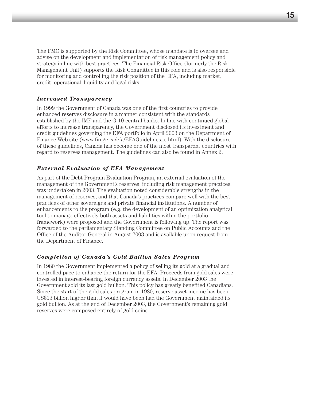The FMC is supported by the Risk Committee, whose mandate is to oversee and advise on the development and implementation of risk management policy and strategy in line with best practices. The Financial Risk Office (formerly the Risk Management Unit) supports the Risk Committee in this role and is also responsible for monitoring and controlling the risk position of the EFA, including market, credit, operational, liquidity and legal risks.

#### *Increased Transparency*

In 1999 the Government of Canada was one of the first countries to provide enhanced reserves disclosure in a manner consistent with the standards established by the IMF and the G-10 central banks. In line with continued global efforts to increase transparency, the Government disclosed its investment and credit guidelines governing the EFA portfolio in April 2003 on the Department of Finance Web site (www.fin.gc.ca/efa/EFAGuidelines\_e.html). With the disclosure of these guidelines, Canada has become one of the most transparent countries with regard to reserves management. The guidelines can also be found in Annex 2.

#### *External Evaluation of EFA Management*

As part of the Debt Program Evaluation Program, an external evaluation of the management of the Government's reserves, including risk management practices, was undertaken in 2003. The evaluation noted considerable strengths in the management of reserves, and that Canada's practices compare well with the best practices of other sovereigns and private financial institutions. A number of enhancements to the program (e.g. the development of an optimization analytical tool to manage effectively both assets and liabilities within the portfolio framework) were proposed and the Government is following up. The report was forwarded to the parliamentary Standing Committee on Public Accounts and the Office of the Auditor General in August 2003 and is available upon request from the Department of Finance.

#### *Completion of Canada's Gold Bullion Sales Program*

In 1980 the Government implemented a policy of selling its gold at a gradual and controlled pace to enhance the return for the EFA. Proceeds from gold sales were invested in interest-bearing foreign currency assets. In December 2003 the Government sold its last gold bullion. This policy has greatly benefited Canadians. Since the start of the gold sales program in 1980, reserve asset income has been US\$13 billion higher than it would have been had the Government maintained its gold bullion. As at the end of December 2003, the Government's remaining gold reserves were composed entirely of gold coins.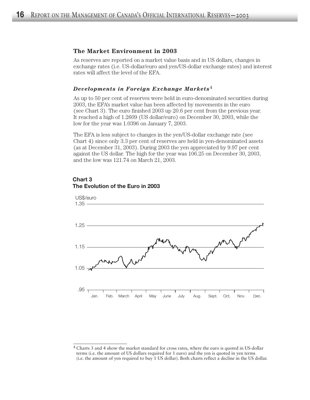#### **The Market Environment in 2003**

As reserves are reported on a market value basis and in US dollars, changes in exchange rates (i.e. US-dollar/euro and yen/US-dollar exchange rates) and interest rates will affect the level of the EFA.

## *Developments in Foreign Exchange Markets*<sup>4</sup>

As up to 50 per cent of reserves were held in euro-denominated securities during 2003, the EFA's market value has been affected by movements in the euro (see Chart 3). The euro finished 2003 up 20.6 per cent from the previous year. It reached a high of 1.2609 (US dollar/euro) on December 30, 2003, while the low for the year was 1.0396 on January 7, 2003.

The EFA is less subject to changes in the yen/US-dollar exchange rate (see Chart 4) since only 3.3 per cent of reserves are held in yen-denominated assets (as at December 31, 2003). During 2003 the yen appreciated by 9.97 per cent against the US dollar. The high for the year was 106.25 on December 30, 2003, and the low was 121.74 on March 21, 2003.



#### **Chart 3 The Evolution of the Euro in 2003**

<sup>4</sup> Charts 3 and 4 show the market standard for cross rates, where the euro is quoted in US-dollar terms (i.e. the amount of US dollars required for 1 euro) and the yen is quoted in yen terms (i.e. the amount of yen required to buy 1 US dollar). Both charts reflect a decline in the US dollar.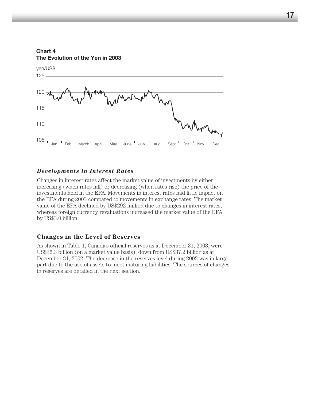

**Chart 4 The Evolution of the Yen in 2003**

#### *Developments in Interest Rates*

Changes in interest rates affect the market value of investments by either increasing (when rates fall) or decreasing (when rates rise) the price of the investments held in the EFA. Movements in interest rates had little impact on the EFA during 2003 compared to movements in exchange rates. The market value of the EFA declined by US\$292 million due to changes in interest rates, whereas foreign currency revaluations increased the market value of the EFA by US\$3.0 billion.

#### **Changes in the Level of Reserves**

As shown in Table 1, Canada's official reserves as at December 31, 2003, were US\$36.3 billion (on a market value basis), down from US\$37.2 billion as at December 31, 2002. The decrease in the reserves level during 2003 was in large part due to the use of assets to meet maturing liabilities. The sources of changes in reserves are detailed in the next section.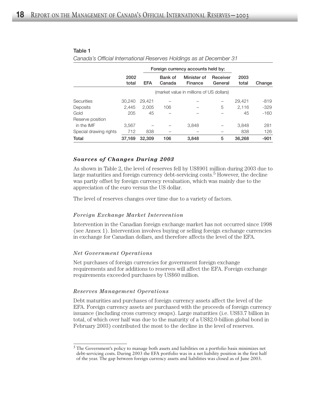#### Table 1

*Canada's Official International Reserves Holdings as at December 31*

|                        |               | Foreign currency accounts held by: |                                          |                        |                     |               |        |
|------------------------|---------------|------------------------------------|------------------------------------------|------------------------|---------------------|---------------|--------|
|                        | 2002<br>total | <b>EFA</b>                         | Bank of<br>Canada                        | Minister of<br>Finance | Receiver<br>General | 2003<br>total | Change |
|                        |               |                                    | (market value in millions of US dollars) |                        |                     |               |        |
| <b>Securities</b>      | 30,240        | 29.421                             |                                          |                        |                     | 29.421        | $-819$ |
| Deposits               | 2.445         | 2.005                              | 106                                      |                        | 5                   | 2.116         | $-329$ |
| Gold                   | 205           | 45                                 |                                          |                        |                     | 45            | $-160$ |
| Reserve position       |               |                                    |                                          |                        |                     |               |        |
| in the IMF             | 3.567         |                                    |                                          | 3.848                  |                     | 3.848         | 281    |
| Special drawing rights | 712           | 838                                |                                          |                        |                     | 838           | 126    |
| Total                  | 37.169        | 32,309                             | 106                                      | 3,848                  | 5                   | 36,268        | $-901$ |

#### *Sources of Changes During 2003*

As shown in Table 2, the level of reserves fell by US\$901 million during 2003 due to large maturities and foreign currency debt-servicing costs.<sup>5</sup> However, the decline was partly offset by foreign currency revaluation, which was mainly due to the appreciation of the euro versus the US dollar.

The level of reserves changes over time due to a variety of factors.

#### *Foreign Exchange Market Intervention*

Intervention in the Canadian foreign exchange market has not occurred since 1998 (see Annex 1). Intervention involves buying or selling foreign exchange currencies in exchange for Canadian dollars, and therefore affects the level of the EFA.

#### *Net Government Operations*

Net purchases of foreign currencies for government foreign exchange requirements and for additions to reserves will affect the EFA. Foreign exchange requirements exceeded purchases by US\$60 million.

#### *Reserves Management Operations*

Debt maturities and purchases of foreign currency assets affect the level of the EFA. Foreign currency assets are purchased with the proceeds of foreign currency issuance (including cross currency swaps). Large maturities (i.e. US\$3.7 billion in total, of which over half was due to the maturity of a US\$2.0-billion global bond in February 2003) contributed the most to the decline in the level of reserves.

<sup>5</sup> The Government's policy to manage both assets and liabilities on a portfolio basis minimizes net debt-servicing costs. During 2003 the EFA portfolio was in a net liability position in the first half of the year. The gap between foreign currency assets and liabilities was closed as of June 2003.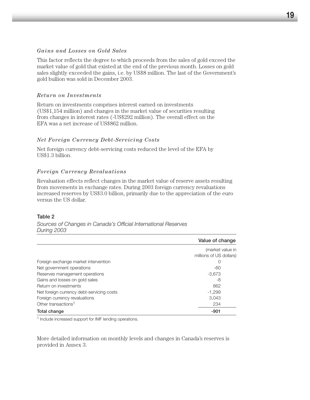#### *Gains and Losses on Gold Sales*

This factor reflects the degree to which proceeds from the sales of gold exceed the market value of gold that existed at the end of the previous month. Losses on gold sales slightly exceeded the gains, i.e. by US\$8 million. The last of the Government's gold bullion was sold in December 2003.

#### *Return on Investments*

Return on investments comprises interest earned on investments (US\$1,154 million) and changes in the market value of securities resulting from changes in interest rates (-US\$292 million). The overall effect on the EFA was a net increase of US\$862 million.

#### *Net Foreign Currency Debt-Servicing Costs*

Net foreign currency debt-servicing costs reduced the level of the EFA by US\$1.3 billion.

#### *Foreign Currency Revaluations*

Revaluation effects reflect changes in the market value of reserve assets resulting from movements in exchange rates. During 2003 foreign currency revaluations increased reserves by US\$3.0 billion, primarily due to the appreciation of the euro versus the US dollar.

#### Table 2

*Sources of Changes in Canada's Official International Reserves During 2003* 

|                                           | Value of change         |
|-------------------------------------------|-------------------------|
|                                           | (market value in        |
|                                           | millions of US dollars) |
| Foreign exchange market intervention      | O                       |
| Net government operations                 | -60                     |
| Reserves management operations            | $-3,673$                |
| Gains and losses on gold sales            | -8                      |
| Return on investments                     | 862                     |
| Net foreign currency debt-servicing costs | $-1.299$                |
| Foreign currency revaluations             | 3,043                   |
| Other transactions <sup>1</sup>           | 234                     |
| Total change                              | $-901$                  |

<sup>1</sup> Include increased support for IMF lending operations.

More detailed information on monthly levels and changes in Canada's reserves is provided in Annex 3.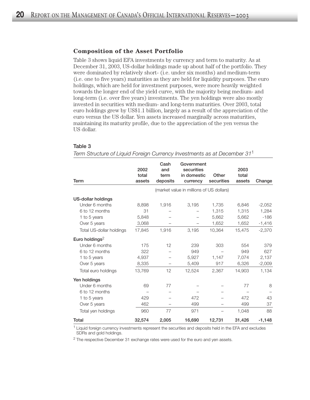#### **Composition of the Asset Portfolio**

Table 3 shows liquid EFA investments by currency and term to maturity. As at December 31, 2003, US-dollar holdings made up about half of the portfolio. They were dominated by relatively short- (i.e. under six months) and medium-term (i.e. one to five years) maturities as they are held for liquidity purposes. The euro holdings, which are held for investment purposes, were more heavily weighted towards the longer end of the yield curve, with the majority being medium- and long-term (i.e. over five years) investments. The yen holdings were also mostly invested in securities with medium- and long-term maturities. Over 2003, total euro holdings grew by US\$1.1 billion, largely as a result of the appreciation of the euro versus the US dollar. Yen assets increased marginally across maturities, maintaining its maturity profile, due to the appreciation of the yen versus the US dollar.

#### Table 3

| Term                       | 2002<br>total<br>assets | Cash<br>and<br>term<br>deposits | Government<br>securities<br>in domestic<br>currency | Other<br>securities | 2003<br>total<br>assets | Change   |
|----------------------------|-------------------------|---------------------------------|-----------------------------------------------------|---------------------|-------------------------|----------|
|                            |                         |                                 | (market value in millions of US dollars)            |                     |                         |          |
| US-dollar holdings         |                         |                                 |                                                     |                     |                         |          |
| Under 6 months             | 8,898                   | 1,916                           | 3,195                                               | 1,735               | 6,846                   | $-2,052$ |
| 6 to 12 months             | 31                      |                                 |                                                     | 1,315               | 1,315                   | 1,284    |
| 1 to 5 years               | 5.848                   |                                 |                                                     | 5,662               | 5,662                   | $-186$   |
| Over 5 years               | 3,068                   |                                 |                                                     | 1,652               | 1,652                   | $-1,416$ |
| Total US-dollar holdings   | 17,845                  | 1,916                           | 3,195                                               | 10,364              | 15,475                  | $-2,370$ |
| Euro holdings <sup>2</sup> |                         |                                 |                                                     |                     |                         |          |
| Under 6 months             | 175                     | 12                              | 239                                                 | 303                 | 554                     | 379      |
| 6 to 12 months             | 322                     |                                 | 949                                                 |                     | 949                     | 627      |
| 1 to 5 years               | 4,937                   |                                 | 5,927                                               | 1.147               | 7,074                   | 2,137    |
| Over 5 years               | 8,335                   | $\overline{\phantom{0}}$        | 5,409                                               | 917                 | 6,326                   | $-2,009$ |
| Total euro holdings        | 13,769                  | 12                              | 12,524                                              | 2,367               | 14,903                  | 1,134    |
| Yen holdings               |                         |                                 |                                                     |                     |                         |          |
| Under 6 months             | 69                      | 77                              |                                                     |                     | 77                      | 8        |
| 6 to 12 months             |                         |                                 |                                                     |                     |                         |          |
| 1 to 5 years               | 429                     |                                 | 472                                                 |                     | 472                     | 43       |
| Over 5 years               | 462                     |                                 | 499                                                 |                     | 499                     | 37       |
| Total yen holdings         | 960                     | 77                              | 971                                                 |                     | 1,048                   | 88       |
| Total                      | 32,574                  | 2,005                           | 16,690                                              | 12,731              | 31,426                  | $-1,148$ |

*Term Structure of Liquid Foreign Currency Investments as at December 31*<sup>1</sup>

<sup>1</sup> Liquid foreign currency investments represent the securities and deposits held in the EFA and excludes SDRs and gold holdings.

 $2$  The respective December 31 exchange rates were used for the euro and yen assets.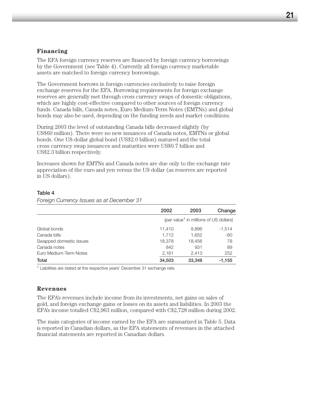#### **Financing**

The EFA foreign currency reserves are financed by foreign currency borrowings by the Government (see Table 4). Currently all foreign currency marketable assets are matched to foreign currency borrowings.

The Government borrows in foreign currencies exclusively to raise foreign exchange reserves for the EFA. Borrowing requirements for foreign exchange reserves are generally met through cross currency swaps of domestic obligations, which are highly cost-effective compared to other sources of foreign currency funds. Canada bills, Canada notes, Euro Medium-Term Notes (EMTNs) and global bonds may also be used, depending on the funding needs and market conditions.

During 2003 the level of outstanding Canada bills decreased slightly (by US\$60 million). There were no new issuances of Canada notes, EMTNs or global bonds. One US-dollar global bond (US\$2.0 billion) matured and the total cross currency swap issuances and maturities were US\$0.7 billion and US\$2.3 billion respectively.

Increases shown for EMTNs and Canada notes are due only to the exchange rate appreciation of the euro and yen versus the US dollar (as reserves are reported in US dollars).

#### Table 4

|                         | 2002   | 2003                                               | Change   |
|-------------------------|--------|----------------------------------------------------|----------|
|                         |        | (par value <sup>1</sup> in millions of US dollars) |          |
| Global bonds            | 11,410 | 9,896                                              | $-1.514$ |
| Canada bills            | 1.712  | 1,652                                              | -60      |
| Swapped domestic issues | 18,378 | 18.456                                             | 78       |
| Canada notes            | 842    | 931                                                | 89       |
| Euro Medium-Term Notes  | 2,161  | 2,413                                              | 252      |
| Total                   | 34,503 | 33,348                                             | $-1,155$ |

*Foreign Currency Issues as at December 31*

<sup>1</sup> Liabilities are stated at the respective years' December 31 exchange rate.

#### **Revenues**

The EFA's revenues include income from its investments, net gains on sales of gold, and foreign exchange gains or losses on its assets and liabilities. In 2003 the EFA's income totalled C\$2,963 million, compared with C\$2,728 million during 2002.

The main categories of income earned by the EFA are summarized in Table 5. Data is reported in Canadian dollars, as the EFA statements of revenues in the attached financial statements are reported in Canadian dollars.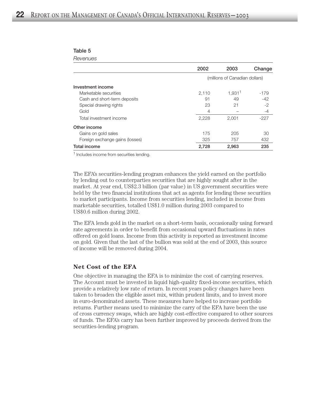#### Table 5

*Revenues*

|                                 | 2002  | 2003                           | Change |
|---------------------------------|-------|--------------------------------|--------|
|                                 |       | (millions of Canadian dollars) |        |
| Investment income               |       |                                |        |
| Marketable securities           | 2.110 | 1,931 <sup>1</sup>             | $-179$ |
| Cash and short-term deposits    | 91    | 49                             | $-42$  |
| Special drawing rights          | 23    | 21                             | $-2$   |
| Gold                            | 4     |                                | -4     |
| Total investment income         | 2,228 | 2.001                          | $-227$ |
| Other income                    |       |                                |        |
| Gains on gold sales             | 175   | 205                            | 30     |
| Foreign exchange gains (losses) | 325   | 757                            | 432    |
| <b>Total income</b>             | 2,728 | 2,963                          | 235    |

<sup>1</sup> Includes income from securities lending.

The EFA's securities-lending program enhances the yield earned on the portfolio by lending out to counterparties securities that are highly sought after in the market. At year end, US\$2.3 billion (par value) in US government securities were held by the two financial institutions that act as agents for lending these securities to market participants. Income from securities lending, included in income from marketable securities, totalled US\$1.0 million during 2003 compared to US\$0.6 million during 2002.

The EFA lends gold in the market on a short-term basis, occasionally using forward rate agreements in order to benefit from occasional upward fluctuations in rates offered on gold loans. Income from this activity is reported as investment income on gold. Given that the last of the bullion was sold at the end of 2003, this source of income will be removed during 2004.

#### **Net Cost of the EFA**

One objective in managing the EFA is to minimize the cost of carrying reserves. The Account must be invested in liquid high-quality fixed-income securities, which provide a relatively low rate of return. In recent years policy changes have been taken to broaden the eligible asset mix, within prudent limits, and to invest more in euro-denominated assets. These measures have helped to increase portfolio returns. Further means used to minimize the carry of the EFA have been the use of cross currency swaps, which are highly cost-effective compared to other sources of funds. The EFA's carry has been further improved by proceeds derived from the securities-lending program.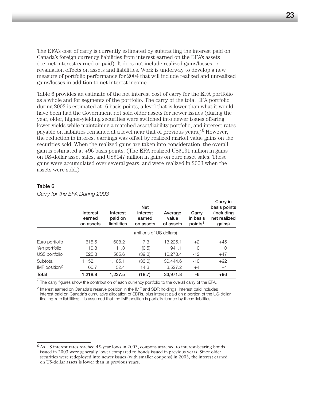The EFA's cost of carry is currently estimated by subtracting the interest paid on Canada's foreign currency liabilities from interest earned on the EFA's assets (i.e. net interest earned or paid). It does not include realized gains/losses or revaluation effects on assets and liabilities. Work is underway to develop a new measure of portfolio performance for 2004 that will include realized and unrealized gains/losses in addition to net interest income.

Table 6 provides an estimate of the net interest cost of carry for the EFA portfolio as a whole and for segments of the portfolio. The carry of the total EFA portfolio during 2003 is estimated at -6 basis points, a level that is lower than what it would have been had the Government not sold older assets for newer issues (during the year, older, higher-yielding securities were switched into newer issues offering lower yields while maintaining a matched asset/liability portfolio, and interest rates payable on liabilities remained at a level near that of previous years.)<sup>6</sup> However, the reduction in interest earnings was offset by realized market value gains on the securities sold. When the realized gains are taken into consideration, the overall gain is estimated at +96 basis points. (The EFA realized US\$131 million in gains on US-dollar asset sales, and US\$147 million in gains on euro asset sales. These gains were accumulated over several years, and were realized in 2003 when the assets were sold.)

#### Table 6

|                  | Interest<br>earned<br>on assets | Interest<br>paid on<br>liabilities | <b>Net</b><br>interest<br>earned<br>on assets | Average<br>value<br>of assets | Carry<br>in basis<br>points <sup>1</sup> | Carry in<br>basis points<br><i>(including)</i><br>net realized<br>gains) |
|------------------|---------------------------------|------------------------------------|-----------------------------------------------|-------------------------------|------------------------------------------|--------------------------------------------------------------------------|
|                  |                                 |                                    | (millions of US dollars)                      |                               |                                          |                                                                          |
| Euro portfolio   | 615.5                           | 608.2                              | 7.3                                           | 13.225.1                      | $+2$                                     | $+45$                                                                    |
| Yen portfolio    | 10.8                            | 11.3                               | (0.5)                                         | 941.1                         | $\Omega$                                 | $\Omega$                                                                 |
| US\$ portfolio   | 525.8                           | 565.6                              | (39.8)                                        | 16.278.4                      | $-12$                                    | $+47$                                                                    |
| Subtotal         | 1,152.1                         | 1.185.1                            | (33.0)                                        | 30,444.6                      | $-10$                                    | $+92$                                                                    |
| IMF position $2$ | 66.7                            | 52.4                               | 14.3                                          | 3.527.2                       | $+4$                                     | $+4$                                                                     |
| Total            | 1,218.8                         | 1,237.5                            | (18.7)                                        | 33,971.8                      | -6                                       | $+96$                                                                    |

*Carry for the EFA During 2003* 

 $<sup>1</sup>$  The carry figures show the contribution of each currency portfolio to the overall carry of the EFA.</sup>

<sup>2</sup> Interest earned on Canada's reserve position in the IMF and SDR holdings. Interest paid includes interest paid on Canada's cumulative allocation of SDRs, plus interest paid on a portion of the US-dollar floating-rate liabilities; it is assumed that the IMF position is partially funded by these liabilities.

<sup>6</sup> As US interest rates reached 45-year lows in 2003, coupons attached to interest-bearing bonds issued in 2003 were generally lower compared to bonds issued in previous years. Since older securities were redeployed into newer issues (with smaller coupons) in 2003, the interest earned on US-dollar assets is lower than in previous years.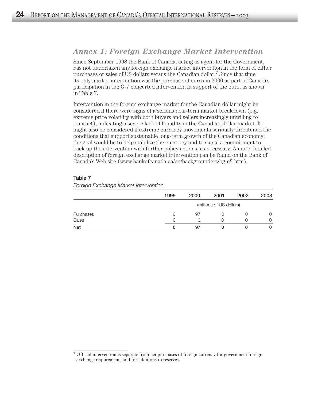# *Annex 1: Foreign Exchange Market Intervention*

Since September 1998 the Bank of Canada, acting as agent for the Government, has not undertaken any foreign exchange market intervention in the form of either purchases or sales of US dollars versus the Canadian dollar.<sup>7</sup> Since that time its only market intervention was the purchase of euros in 2000 as part of Canada's participation in the G-7 concerted intervention in support of the euro, as shown in Table 7.

Intervention in the foreign exchange market for the Canadian dollar might be considered if there were signs of a serious near-term market breakdown (e.g. extreme price volatility with both buyers and sellers increasingly unwilling to transact), indicating a severe lack of liquidity in the Canadian-dollar market. It might also be considered if extreme currency movements seriously threatened the conditions that support sustainable long-term growth of the Canadian economy; the goal would be to help stabilize the currency and to signal a commitment to back up the intervention with further policy actions, as necessary. A more detailed description of foreign exchange market intervention can be found on the Bank of Canada's Web site (www.bankofcanada.ca/en/backgrounders/bg-e2.htm).

|            | 1999 | 2000 | 2001                     | 2002 | 2003 |
|------------|------|------|--------------------------|------|------|
|            |      |      | (millions of US dollars) |      |      |
| Purchases  |      | 97   |                          |      |      |
| Sales      |      |      |                          |      | 0    |
| <b>Net</b> |      | 97   |                          |      |      |

#### Table 7

#### *Foreign Exchange Market Intervention*

<sup>7</sup> Official intervention is separate from net purchases of foreign currency for government foreign exchange requirements and for additions to reserves.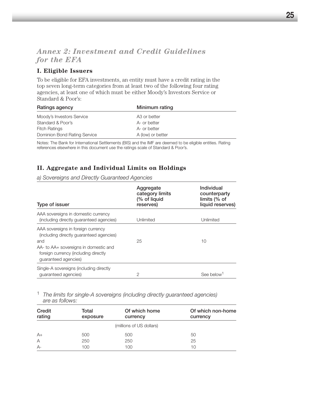# *Annex 2: Investment and Credit Guidelines for the EFA*

# **I. Eligible Issuers**

To be eligible for EFA investments, an entity must have a credit rating in the top seven long-term categories from at least two of the following four rating agencies, at least one of which must be either Moody's Investors Service or Standard & Poor's:

| Ratings agency               | Minimum rating           |
|------------------------------|--------------------------|
| Moody's Investors Service    | A <sub>3</sub> or better |
| Standard & Poor's            | A- or better             |
| <b>Fitch Ratings</b>         | A- or better             |
| Dominion Bond Rating Service | A (low) or better        |

Notes: The Bank for International Settlements (BIS) and the IMF are deemed to be eligible entities. Rating references elsewhere in this document use the ratings scale of Standard & Poor's.

# **II. Aggregate and Individual Limits on Holdings**

*a) Sovereigns and Directly Guaranteed Agencies*

| Type of issuer                                                                                                                                                                                 | Aggregate<br>category limits<br>(% of liquid<br>reserves) | Individual<br>counterparty<br>limits $%$ of<br>liquid reserves) |
|------------------------------------------------------------------------------------------------------------------------------------------------------------------------------------------------|-----------------------------------------------------------|-----------------------------------------------------------------|
| AAA sovereigns in domestic currency<br>(including directly quaranteed agencies)                                                                                                                | Unlimited                                                 | Unlimited                                                       |
| AAA sovereigns in foreign currency<br>(including directly quaranteed agencies)<br>and<br>AA- to AA+ sovereigns in domestic and<br>foreign currency (including directly<br>guaranteed agencies) | 25                                                        | 10                                                              |
| Single-A sovereigns (including directly<br>quaranteed agencies)                                                                                                                                | 2                                                         | See below                                                       |

#### <sup>1</sup> *The limits for single-A sovereigns (including directly guaranteed agencies) are as follows:*

| Credit<br>rating | Total<br>exposure | Of which home<br>currency | Of which non-home<br>currency |
|------------------|-------------------|---------------------------|-------------------------------|
|                  |                   | (millions of US dollars)  |                               |
| $A+$             | 500               | 500                       | 50                            |
| A                | 250               | 250                       | 25                            |
| $A -$            | 100               | 100                       | 10                            |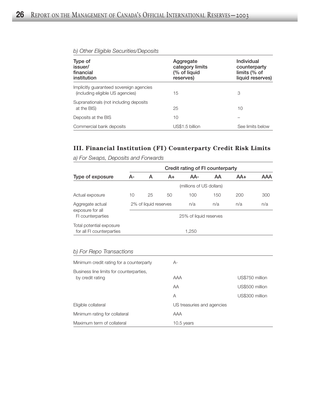| Type of<br>issuer/<br>financial<br>institution                               | Aggregate<br>category limits<br>(% of liquid<br>reserves) | Individual<br>counterparty<br>limits (% of<br>liquid reserves) |
|------------------------------------------------------------------------------|-----------------------------------------------------------|----------------------------------------------------------------|
| Implicitly guaranteed sovereign agencies<br>(including eligible US agencies) | 15                                                        | 3                                                              |
| Supranationals (not including deposits<br>at the BIS)                        | 25                                                        | 10                                                             |
| Deposits at the BIS                                                          | 10                                                        |                                                                |
| Commercial bank deposits                                                     | US\$1.5 billion                                           | See limits below                                               |

## *b) Other Eligible Securities/Deposits*

# **III. Financial Institution (FI) Counterparty Credit Risk Limits**

|                                                       |    |                       |    | Credit rating of FI counterparty |     |       |     |
|-------------------------------------------------------|----|-----------------------|----|----------------------------------|-----|-------|-----|
| Type of exposure                                      | А- | A                     | A+ | AA-                              | AA  | $AA+$ | AAA |
|                                                       |    |                       |    | (millions of US dollars)         |     |       |     |
| Actual exposure                                       | 10 | 25                    | 50 | 100                              | 150 | 200   | 300 |
| Aggregate actual<br>exposure for all                  |    | 2% of liquid reserves |    | n/a                              | n/a | n/a   | n/a |
| FI counterparties                                     |    |                       |    | 25% of liquid reserves           |     |       |     |
| Total potential exposure<br>for all FI counterparties |    |                       |    | 1,250                            |     |       |     |

*a) For Swaps, Deposits and Forwards*

## *b) For Repo Transactions*

| Minimum credit rating for a counterparty                     | $A-$                       |                 |
|--------------------------------------------------------------|----------------------------|-----------------|
| Business line limits for counterparties,<br>by credit rating | <b>AAA</b>                 | US\$750 million |
|                                                              | AA                         | US\$500 million |
|                                                              | A                          | US\$300 million |
| Eligible collateral                                          | US treasuries and agencies |                 |
| Minimum rating for collateral                                | AAA                        |                 |
| Maximum term of collateral                                   | 10.5 years                 |                 |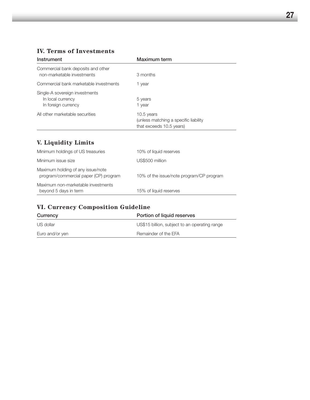# **IV. Terms of Investments**

| Instrument                                                                 | Maximum term                                                                     |
|----------------------------------------------------------------------------|----------------------------------------------------------------------------------|
| Commercial bank deposits and other<br>non-marketable investments           | 3 months                                                                         |
| Commercial bank marketable investments                                     | 1 year                                                                           |
| Single-A sovereign investments<br>In local currency<br>In foreign currency | 5 years<br>1 year                                                                |
| All other marketable securities                                            | 10.5 years<br>(unless matching a specific liability)<br>that exceeds 10.5 years) |

# **V. Liquidity Limits**

| Minimum holdings of US treasuries                                          | 10% of liquid reserves                   |
|----------------------------------------------------------------------------|------------------------------------------|
| Minimum issue size                                                         | US\$500 million                          |
| Maximum holding of any issue/note<br>program/commercial paper (CP) program | 10% of the issue/note program/CP program |
| Maximum non-marketable investments<br>beyond 5 days in term                | 15% of liquid reserves                   |

# **VI. Currency Composition Guideline**

| Currency        | Portion of liquid reserves                    |
|-----------------|-----------------------------------------------|
| US dollar       | US\$15 billion, subject to an operating range |
| Euro and/or yen | Remainder of the EFA                          |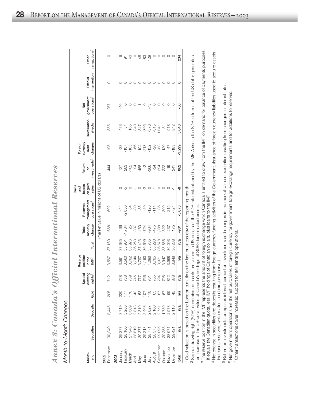|                  | Annex 3: Canada's Offi                            |                                                                       |                   |                                           |                                       |        |                            | cial International Reserves                       |                                                             |                                         |                                        |                        |                                              |                          |                                    |
|------------------|---------------------------------------------------|-----------------------------------------------------------------------|-------------------|-------------------------------------------|---------------------------------------|--------|----------------------------|---------------------------------------------------|-------------------------------------------------------------|-----------------------------------------|----------------------------------------|------------------------|----------------------------------------------|--------------------------|------------------------------------|
|                  | Month-to-Month Changes                            |                                                                       |                   |                                           |                                       |        |                            |                                                   |                                                             |                                         |                                        |                        |                                              |                          |                                    |
| Month-<br>end    | Securities                                        | Deposits                                                              | Gold <sup>1</sup> | Special<br>drawing<br>rights <sup>2</sup> | Reserve<br>position<br>in the<br>liM⊨ | Total  | monthly<br>change<br>Total | management<br>operations <sup>4</sup><br>Reserves | on gold<br>losses<br>Gains<br>sales<br>and                  | investments <sup>5</sup><br>Return<br>δ | currency<br>charges<br>Foreign<br>debt | Revaluation<br>effects | government<br>operations <sup>6</sup><br>Net | intervention<br>Official | transactions <sup>7</sup><br>Other |
|                  |                                                   |                                                                       |                   |                                           |                                       |        |                            | (market value in millions of US dollars)          |                                                             |                                         |                                        |                        |                                              |                          |                                    |
| December<br>2002 | 30,240                                            | 2,445                                                                 | 205               | 712                                       | 3,567                                 | 37,169 | 668                        | $-692$                                            | г,                                                          | 444                                     | $-195$                                 | 855                    | 257                                          | $\circ$                  | $\circ$                            |
| 2003             |                                                   |                                                                       |                   |                                           |                                       |        |                            |                                                   |                                                             |                                         |                                        |                        |                                              |                          |                                    |
| January          |                                                   | 3,719                                                                 |                   |                                           | 3,591                                 | 37,635 | 466                        | -44                                               |                                                             |                                         | -33                                    | 423                    | $-16$                                        |                          | တ                                  |
| February         |                                                   |                                                                       |                   |                                           | 3,560                                 | 35,901 | 1,734                      | $-2,030$                                          | ယု                                                          | 1280                                    | $-107$                                 | 34                     |                                              | $\circ$ $\circ$          | 5                                  |
| March            |                                                   |                                                                       |                   |                                           | 3,762                                 | 35,926 | 25                         | $\mathfrak{A}$                                    | $\circ$                                                     |                                         | $-165$                                 | 165                    |                                              |                          | $\frac{3}{4}$                      |
| April            |                                                   |                                                                       |                   |                                           | 3,744                                 | 36,263 | 337                        | $-50$                                             | $\overline{1}$                                              | $\mathcal{L}$                           | -66                                    | 340                    | $\circ$                                      | $\circ$                  | $\circ$                            |
| <b>May</b>       |                                                   |                                                                       |                   |                                           | 3,797                                 | 37,423 | $-160$                     | $-85$                                             |                                                             | 458                                     | $-104$<br>$-213$                       | 847                    | π                                            | $\circ$                  | 45                                 |
| June             |                                                   |                                                                       |                   |                                           | 4,150                                 | 36,699 | $-724$                     | $-29$                                             | $\circ$ $\sim$ $\circ$                                      | Ņ                                       |                                        | $-395$                 | $\circ$                                      |                          | -83                                |
| 与                |                                                   | 8 8 9 9 9 9 8 7 8 9 7<br>2 8 9 9 9 9 8 7 9 7<br>3 9 9 9 9 9 9 0 1 9 7 |                   | 88884786688888888888                      | 4,096                                 | 35,765 | $-934$                     | $-126$                                            |                                                             | -366                                    | $-152$                                 | $-376$                 | $-43$                                        | $\circ$                  | 129                                |
| August           |                                                   |                                                                       |                   |                                           | 3,785                                 | 35,290 | $-475$                     | $\frac{1}{11}$                                    |                                                             | $-24$                                   | -26                                    | $-315$                 | O                                            | $\circ$                  |                                    |
| September        |                                                   |                                                                       |                   |                                           | 3,971                                 | 36,678 | ,388                       | 86                                                | $\overline{\phantom{0}}\circ$ $\overline{\phantom{0}}\circ$ | 394                                     | $-83$                                  | ,041                   | O                                            | $\circ$                  | $\circ\circ\circ\circ\circ$        |
| October          | 29,258                                            | 1,789                                                                 |                   |                                           | 3,947                                 | 35,856 | -822                       | $-399$                                            |                                                             | $-222$                                  | $-120$                                 | $\overline{\varphi}$   | $\circ$                                      | $\circ$                  |                                    |
| November         | 28,671                                            | 2,573                                                                 |                   |                                           | 3,968                                 | 36,093 | 237                        | $-215$                                            | $\circ$                                                     | $-19$                                   | -47                                    | 518                    | $\circ$                                      | $\circ$                  |                                    |
| December         | 29,421                                            | 2,116                                                                 |                   |                                           | 3,848                                 | 36,268 | 175                        | $-724$                                            |                                                             | 241                                     | $-183$                                 | 842                    | $\circ$                                      | $\circ$                  |                                    |
| Total            | n/a                                               | n/a                                                                   | n/a               | n/a                                       | n/a                                   | n/a    | -901                       | $-3,673$                                          | ထု                                                          | 862                                     | $-1,299$                               | 3,043                  | ဓု                                           | 0                        | 234                                |
|                  | xy w u uupuu   ayyaay uu pasad si waxa ishii 100. |                                                                       |                   |                                           |                                       |        |                            | on the last business day of the reporting month   |                                                             |                                         |                                        |                        |                                              |                          |                                    |

Gold valuation is based on the London p.m. fix on the last business day of the reporting month.

Special drawing right (SDR)-denominated assets are valued in US dollars at the SDR rate established by the IMF. A rise in the SDR in terms of the US dollar generates Special drawing right (SDR)-denominated assets are valued in US dollars at the SDR rate established by the IMF. A rise in the SDR in terms of the US dollar generates an increase in the US-dollar value of Canada's holdings of SDR-denominated assets. an increase in the US-dollar value of Canada's holdings of SDR-denominated assets.  $\scriptstyle\sim$ 

<sup>3</sup> The reserve position in the IMF represents the amount of foreign exchange which Canada is entitled to draw from the IMF on demand for balance of payments purposes. The reserve position in the IMF represents the amount of foreign exchange which Canada is entitled to draw from the IMF on demand for balance of payments purposes. It equals the Canadian quota, less IMF holdings of Canadian dollars, plus loans to the IMF. It equals the Canadian quota, less IMF holdings of Canadian dollars, plus loans to the IMF.

<sup>4</sup> Net change in securities and deposits resulting from foreign currency funding activities of the Government. (Issuance of foreign currency liabilities used to acquire assets Net change in securities and deposits resulting from foreign currency funding activities of the Government. (Issuance of foreign currency liabilities used to acquire assets increases reserves, while maturities decrease reserves). increases reserves, while maturities decrease reserves).

<sup>5</sup> Return on investments comprises interest earned on investments and changes in the market value of securities resulting from changes in interest rates. Return on investments comprises interest earned on investments and changes in the market value of securities resulting from changes in interest rates.

<sup>6</sup> Net government operations are the net purchases of foreign currency for government foreign exchange requirements and for additions to reserves. Net government operations are the net purchases of foreign currency for government foreign exchange requirements and for additions to reserves.

7 Other transactions cover increased support for IMF lending operations. Other transactions cover increased support for IMF lending operations.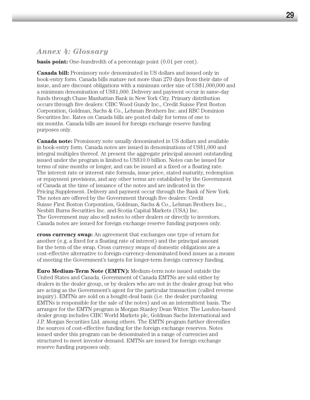# *Annex 4: Glossary*

**basis point:** One-hundredth of a percentage point  $(0.01$  per cent).

**Canada bill:** Promissory note denominated in US dollars and issued only in book-entry form. Canada bills mature not more than 270 days from their date of issue, and are discount obligations with a minimum order size of US\$1,000,000 and a minimum denomination of US\$1,000. Delivery and payment occur in same-day funds through Chase Manhattan Bank in New York City. Primary distribution occurs through five dealers: CIBC Wood Gundy Inc., Credit Suisse First Boston Corporation, Goldman, Sachs & Co., Lehman Brothers Inc. and RBC Dominion Securities Inc. Rates on Canada bills are posted daily for terms of one to six months. Canada bills are issued for foreign exchange reserve funding purposes only.

**Canada note:** Promissory note usually denominated in US dollars and available in book-entry form. Canada notes are issued in denominations of US\$1,000 and integral multiples thereof. At present the aggregate principal amount outstanding issued under the program is limited to US\$10.0 billion. Notes can be issued for terms of nine months or longer, and can be issued at a fixed or a floating rate. The interest rate or interest rate formula, issue price, stated maturity, redemption or repayment provisions, and any other terms are established by the Government of Canada at the time of issuance of the notes and are indicated in the Pricing Supplement. Delivery and payment occur through the Bank of New York. The notes are offered by the Government through five dealers: Credit Suisse First Boston Corporation, Goldman, Sachs & Co., Lehman Brothers Inc., Nesbitt Burns Securities Inc. and Scotia Capital Markets (USA) Inc. The Government may also sell notes to other dealers or directly to investors. Canada notes are issued for foreign exchange reserve funding purposes only.

**cross currency swap:** An agreement that exchanges one type of return for another (e.g. a fixed for a floating rate of interest) and the principal amount for the term of the swap. Cross currency swaps of domestic obligations are a cost-effective alternative to foreign-currency-denominated bond issues as a means of meeting the Government's targets for longer-term foreign currency funding.

**Euro Medium-Term Note (EMTN):** Medium-term note issued outside the United States and Canada. Government of Canada EMTNs are sold either by dealers in the dealer group, or by dealers who are not in the dealer group but who are acting as the Government's agent for the particular transaction (called reverse inquiry). EMTNs are sold on a bought-deal basis (i.e. the dealer purchasing EMTNs is responsible for the sale of the notes) and on an intermittent basis. The arranger for the EMTN program is Morgan Stanley Dean Witter. The London-based dealer group includes CIBC World Markets plc, Goldman Sachs International and J.P. Morgan Securities Ltd. among others. The EMTN program further diversifies the sources of cost-effective funding for the foreign exchange reserves. Notes issued under this program can be denominated in a range of currencies and structured to meet investor demand. EMTNs are issued for foreign exchange reserve funding purposes only.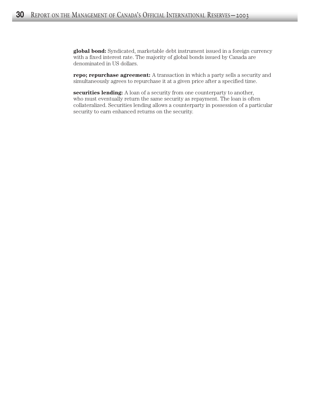**global bond:** Syndicated, marketable debt instrument issued in a foreign currency with a fixed interest rate. The majority of global bonds issued by Canada are denominated in US dollars.

**repo; repurchase agreement:** A transaction in which a party sells a security and simultaneously agrees to repurchase it at a given price after a specified time.

**securities lending:** A loan of a security from one counterparty to another, who must eventually return the same security as repayment. The loan is often collateralized. Securities lending allows a counterparty in possession of a particular security to earn enhanced returns on the security.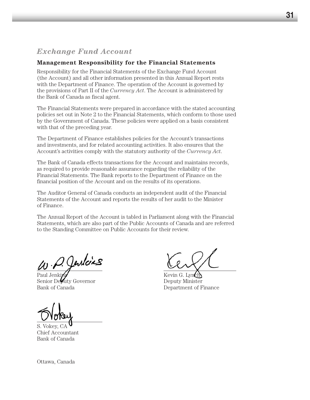# **Management Responsibility for the Financial Statements**

Responsibility for the Financial Statements of the Exchange Fund Account (the Account) and all other information presented in this Annual Report rests with the Department of Finance. The operation of the Account is governed by the provisions of Part II of the *Currency Act*. The Account is administered by the Bank of Canada as fiscal agent.

The Financial Statements were prepared in accordance with the stated accounting policies set out in Note 2 to the Financial Statements, which conform to those used by the Government of Canada. These policies were applied on a basis consistent with that of the preceding year.

The Department of Finance establishes policies for the Account's transactions and investments, and for related accounting activities. It also ensures that the Account's activities comply with the statutory authority of the *Currency Act*.

The Bank of Canada effects transactions for the Account and maintains records, as required to provide reasonable assurance regarding the reliability of the Financial Statements. The Bank reports to the Department of Finance on the financial position of the Account and on the results of its operations.

The Auditor General of Canada conducts an independent audit of the Financial Statements of the Account and reports the results of her audit to the Minister of Finance.

The Annual Report of the Account is tabled in Parliament along with the Financial Statements, which are also part of the Public Accounts of Canada and are referred to the Standing Committee on Public Accounts for their review.

.P. Jenkins

Senior Deputy Governor Deputy Minister Bank of Canada Department of Finance

S. Vokey, CA Chief Accountant Bank of Canada

Paul Jenkins Kevin G. Lynch

Ottawa, Canada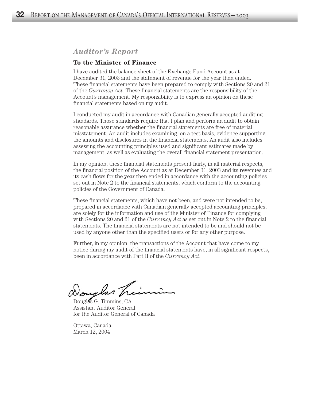# *Auditor's Report*

#### **To the Minister of Finance**

I have audited the balance sheet of the Exchange Fund Account as at December 31, 2003 and the statement of revenue for the year then ended. These financial statements have been prepared to comply with Sections 20 and 21 of the *Currency Act*. These financial statements are the responsibility of the Account's management. My responsibility is to express an opinion on these financial statements based on my audit.

I conducted my audit in accordance with Canadian generally accepted auditing standards. Those standards require that I plan and perform an audit to obtain reasonable assurance whether the financial statements are free of material misstatement. An audit includes examining, on a test basis, evidence supporting the amounts and disclosures in the financial statements. An audit also includes assessing the accounting principles used and significant estimates made by management, as well as evaluating the overall financial statement presentation.

In my opinion, these financial statements present fairly, in all material respects, the financial position of the Account as at December 31, 2003 and its revenues and its cash flows for the year then ended in accordance with the accounting policies set out in Note 2 to the financial statements, which conform to the accounting policies of the Government of Canada.

These financial statements, which have not been, and were not intended to be, prepared in accordance with Canadian generally accepted accounting principles, are solely for the information and use of the Minister of Finance for complying with Sections 20 and 21 of the *Currency Act* as set out in Note 2 to the financial statements. The financial statements are not intended to be and should not be used by anyone other than the specified users or for any other purpose.

Further, in my opinion, the transactions of the Account that have come to my notice during my audit of the financial statements have, in all significant respects, been in accordance with Part II of the *Currency Act*.

uglar?

Douglas G. Timmins, CA Assistant Auditor General for the Auditor General of Canada

Ottawa, Canada March 12, 2004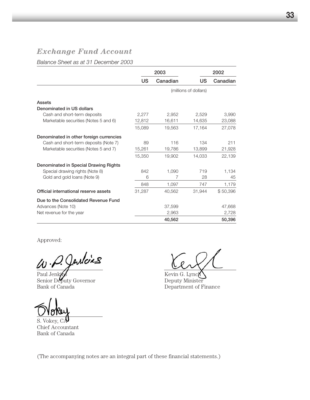*Balance Sheet as at 31 December 2003*

|                                         |           | 2003     |                       | 2002     |
|-----------------------------------------|-----------|----------|-----------------------|----------|
|                                         | <b>US</b> | Canadian | US                    | Canadian |
|                                         |           |          | (millions of dollars) |          |
| <b>Assets</b>                           |           |          |                       |          |
| Denominated in US dollars               |           |          |                       |          |
| Cash and short-term deposits            | 2,277     | 2,952    | 2,529                 | 3,990    |
| Marketable securities (Notes 5 and 6)   | 12,812    | 16,611   | 14,635                | 23,088   |
|                                         | 15,089    | 19,563   | 17,164                | 27,078   |
| Denominated in other foreign currencies |           |          |                       |          |
| Cash and short-term deposits (Note 7)   | 89        | 116      | 134                   | 211      |
| Marketable securities (Notes 5 and 7)   | 15,261    | 19,786   | 13,899                | 21,928   |
|                                         | 15,350    | 19.902   | 14.033                | 22.139   |
| Denominated in Special Drawing Rights   |           |          |                       |          |
| Special drawing rights (Note 8)         | 842       | 1,090    | 719                   | 1,134    |
| Gold and gold loans (Note 9)            | 6         | 7        | 28                    | 45       |
|                                         | 848       | 1,097    | 747                   | 1,179    |
| Official international reserve assets   | 31,287    | 40,562   | 31,944                | \$50,396 |
| Due to the Consolidated Revenue Fund    |           |          |                       |          |
| Advances (Note 10)                      |           | 37,599   |                       | 47,668   |
| Net revenue for the year                |           | 2,963    |                       | 2,728    |
|                                         |           | 40,562   |                       | 50,396   |

Approved:

O. Jentins

Paul Jenk**ins Ke**vin G. Lync**h** Senior Deputy Governor **Deputy Minister** Bank of Canada Department of Finance

S. Vokey, CA Chief Accountant Bank of Canada

(The accompanying notes are an integral part of these financial statements.)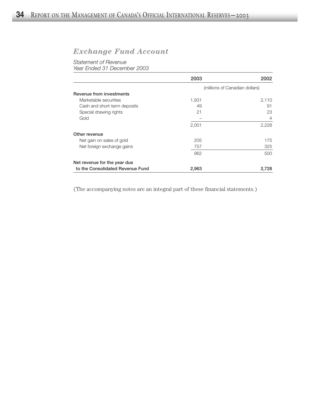#### *Statement of Revenue Year Ended 31 December 2003*

|                                  | 2003  | 2002                           |
|----------------------------------|-------|--------------------------------|
|                                  |       | (millions of Canadian dollars) |
| Revenue from investments         |       |                                |
| Marketable securities            | 1,931 | 2,110                          |
| Cash and short-term deposits     | 49    | 91                             |
| Special drawing rights           | 21    | 23                             |
| Gold                             |       | 4                              |
|                                  | 2,001 | 2,228                          |
| Other revenue                    |       |                                |
| Net gain on sales of gold        | 205   | 175                            |
| Net foreign exchange gains       | 757   | 325                            |
|                                  | 962   | 500                            |
| Net revenue for the year due     |       |                                |
| to the Consolidated Revenue Fund | 2,963 | 2,728                          |

(The accompanying notes are an integral part of these financial statements.)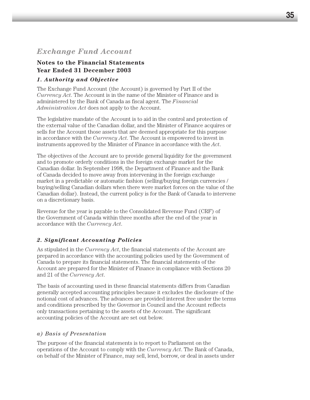# **Notes to the Financial Statements Year Ended 31 December 2003**

## *1. Authority and Objective*

The Exchange Fund Account (the Account) is governed by Part II of the *Currency Act*. The Account is in the name of the Minister of Finance and is administered by the Bank of Canada as fiscal agent. The *Financial Administration Act* does not apply to the Account.

The legislative mandate of the Account is to aid in the control and protection of the external value of the Canadian dollar, and the Minister of Finance acquires or sells for the Account those assets that are deemed appropriate for this purpose in accordance with the *Currency Act*. The Account is empowered to invest in instruments approved by the Minister of Finance in accordance with the *Act*.

The objectives of the Account are to provide general liquidity for the government and to promote orderly conditions in the foreign exchange market for the Canadian dollar. In September 1998, the Department of Finance and the Bank of Canada decided to move away from intervening in the foreign exchange market in a predictable or automatic fashion (selling/buying foreign currencies / buying/selling Canadian dollars when there were market forces on the value of the Canadian dollar). Instead, the current policy is for the Bank of Canada to intervene on a discretionary basis.

Revenue for the year is payable to the Consolidated Revenue Fund (CRF) of the Government of Canada within three months after the end of the year in accordance with the *Currency Act*.

# *2. Significant Accounting Policies*

As stipulated in the *Currency Act*, the financial statements of the Account are prepared in accordance with the accounting policies used by the Government of Canada to prepare its financial statements. The financial statements of the Account are prepared for the Minister of Finance in compliance with Sections 20 and 21 of the *Currency Act*.

The basis of accounting used in these financial statements differs from Canadian generally accepted accounting principles because it excludes the disclosure of the notional cost of advances. The advances are provided interest free under the terms and conditions prescribed by the Governor in Council and the Account reflects only transactions pertaining to the assets of the Account. The significant accounting policies of the Account are set out below.

## *a) Basis of Presentation*

The purpose of the financial statements is to report to Parliament on the operations of the Account to comply with the *Currency Act*. The Bank of Canada, on behalf of the Minister of Finance, may sell, lend, borrow, or deal in assets under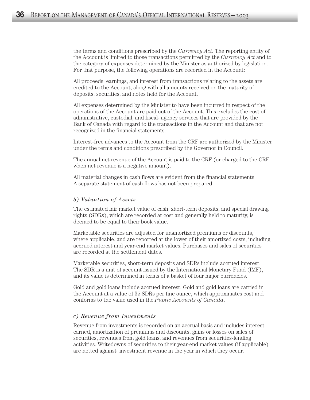the terms and conditions prescribed by the *Currency Act*. The reporting entity of the Account is limited to those transactions permitted by the *Currency Act* and to the category of expenses determined by the Minister as authorized by legislation. For that purpose, the following operations are recorded in the Account:

All proceeds, earnings, and interest from transactions relating to the assets are credited to the Account, along with all amounts received on the maturity of deposits, securities, and notes held for the Account.

All expenses determined by the Minister to have been incurred in respect of the operations of the Account are paid out of the Account. This excludes the cost of administrative, custodial, and fiscal- agency services that are provided by the Bank of Canada with regard to the transactions in the Account and that are not recognized in the financial statements.

Interest-free advances to the Account from the CRF are authorized by the Minister under the terms and conditions prescribed by the Governor in Council.

The annual net revenue of the Account is paid to the CRF (or charged to the CRF when net revenue is a negative amount).

All material changes in cash flows are evident from the financial statements. A separate statement of cash flows has not been prepared.

#### *b) Valuation of Assets*

The estimated fair market value of cash, short-term deposits, and special drawing rights (SDRs), which are recorded at cost and generally held to maturity, is deemed to be equal to their book value.

Marketable securities are adjusted for unamortized premiums or discounts, where applicable, and are reported at the lower of their amortized costs, including accrued interest and year-end market values. Purchases and sales of securities are recorded at the settlement dates.

Marketable securities, short-term deposits and SDRs include accrued interest. The SDR is a unit of account issued by the International Monetary Fund (IMF), and its value is determined in terms of a basket of four major currencies.

Gold and gold loans include accrued interest. Gold and gold loans are carried in the Account at a value of 35 SDRs per fine ounce, which approximates cost and conforms to the value used in the *Public Accounts of Canada*.

#### *c) Revenue from Investments*

Revenue from investments is recorded on an accrual basis and includes interest earned, amortization of premiums and discounts, gains or losses on sales of securities, revenues from gold loans, and revenues from securities-lending activities. Writedowns of securities to their year-end market values (if applicable) are netted against investment revenue in the year in which they occur.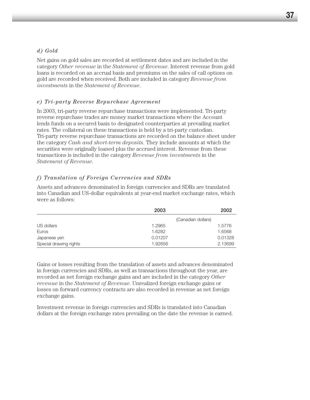#### *d) Gold*

Net gains on gold sales are recorded at settlement dates and are included in the category *Other revenue* in the *Statement of Revenue*. Interest revenue from gold loans is recorded on an accrual basis and premiums on the sales of call options on gold are recorded when received. Both are included in category *Revenue from investments* in the *Statement of Revenue*.

#### *e) Tri-party Reverse Repurchase Agreement*

In 2003, tri-party reverse repurchase transactions were implemented. Tri-party reverse repurchase trades are money market transactions where the Account lends funds on a secured basis to designated counterparties at prevailing market rates. The collateral on these transactions is held by a tri-party custodian. Tri-party reverse repurchase transactions are recorded on the balance sheet under the category *Cash and short-term deposits*. They include amounts at which the securities were originally loaned plus the accrued interest. Revenue from these transactions is included in the category *Revenue from investments* in the *Statement of Revenue*.

#### *f) Translation of Foreign Currencies and SDRs*

Assets and advances denominated in foreign currencies and SDRs are translated into Canadian and US-dollar equivalents at year-end market exchange rates, which were as follows:

|                        | 2003               | 2002    |
|------------------------|--------------------|---------|
|                        | (Canadian dollars) |         |
| US dollars             | 1.2965             | 1.5776  |
| Euros                  | 1.6282             | 1.6568  |
| Japanese yen           | 0.01207            | 0.01328 |
| Special drawing rights | 1.92656            | 2.13699 |

Gains or losses resulting from the translation of assets and advances denominated in foreign currencies and SDRs, as well as transactions throughout the year, are recorded as net foreign exchange gains and are included in the category *Other revenue* in the *Statement of Revenue*. Unrealized foreign exchange gains or losses on forward currency contracts are also recorded in revenue as net foreign exchange gains.

Investment revenue in foreign currencies and SDRs is translated into Canadian dollars at the foreign exchange rates prevailing on the date the revenue is earned.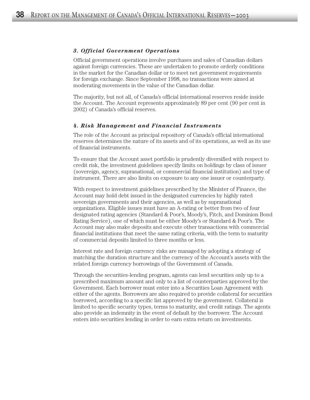#### *3. Official Government Operations*

Official government operations involve purchases and sales of Canadian dollars against foreign currencies. These are undertaken to promote orderly conditions in the market for the Canadian dollar or to meet net government requirements for foreign exchange. Since September 1998, no transactions were aimed at moderating movements in the value of the Canadian dollar.

The majority, but not all, of Canada's official international reserves reside inside the Account. The Account represents approximately 89 per cent (90 per cent in 2002) of Canada's official reserves.

#### *4. Risk Management and Financial Instruments*

The role of the Account as principal repository of Canada's official international reserves determines the nature of its assets and of its operations, as well as its use of financial instruments.

To ensure that the Account asset portfolio is prudently diversified with respect to credit risk, the investment guidelines specify limits on holdings by class of issuer (sovereign, agency, supranational, or commercial financial institution) and type of instrument. There are also limits on exposure to any one issuer or counterparty.

With respect to investment guidelines prescribed by the Minister of Finance, the Account may hold debt issued in the designated currencies by highly rated sovereign governments and their agencies, as well as by supranational organizations. Eligible issues must have an A-rating or better from two of four designated rating agencies (Standard & Poor's, Moody's, Fitch, and Dominion Bond Rating Service), one of which must be either Moody's or Standard & Poor's. The Account may also make deposits and execute other transactions with commercial financial institutions that meet the same rating criteria, with the term to maturity of commercial deposits limited to three months or less.

Interest rate and foreign currency risks are managed by adopting a strategy of matching the duration structure and the currency of the Account's assets with the related foreign currency borrowings of the Government of Canada.

Through the securities-lending program, agents can lend securities only up to a prescribed maximum amount and only to a list of counterparties approved by the Government. Each borrower must enter into a Securities Loan Agreement with either of the agents. Borrowers are also required to provide collateral for securities borrowed, according to a specific list approved by the government. Collateral is limited to specific security types, terms to maturity, and credit ratings. The agents also provide an indemnity in the event of default by the borrower. The Account enters into securities lending in order to earn extra return on investments.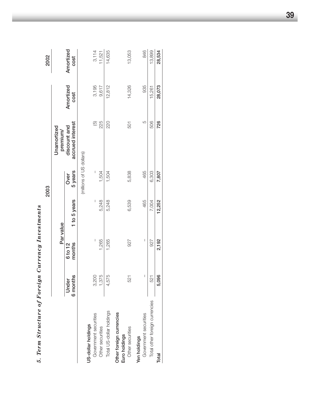|                                                               |                          |                   |              | 2003                     |                                  |                   | 2002              |
|---------------------------------------------------------------|--------------------------|-------------------|--------------|--------------------------|----------------------------------|-------------------|-------------------|
|                                                               |                          |                   |              |                          | Unamortized                      |                   |                   |
|                                                               |                          |                   | Par value    |                          | premium/                         |                   |                   |
|                                                               | 6 months<br>Under        | months<br>6 to 12 | 1 to 5 years | 5 years<br>Over          | accrued interest<br>discount and | Amortized<br>cost | Amortized<br>cost |
|                                                               |                          |                   |              | (millions of US dollars) |                                  |                   |                   |
| US-dollar holdings                                            |                          |                   |              |                          |                                  |                   |                   |
| Government securities                                         | 3,200                    |                   | I            | $\vert$                  | $\odot$                          | 3,195             | 3,114             |
| Other securities                                              | 1,375                    | 1,265             | 5,248        | 1,504                    | 225                              | 9,617             | 11,521            |
| Total US-dollar holdings                                      | 4,575                    | 1,265             | 5,248        | 1,504                    | 220                              | 12,812            | 14,635            |
| Other foreign currencies<br>Other securities<br>Euro holdings | 521                      | 927               | 6,539        | 5,838                    | 501                              | 14,326            | 13,053            |
| Government securities<br>Yen holdings                         | $\overline{\phantom{a}}$ | I                 | 465          | 465                      | 5                                | 935               | 846               |
| Total other foreign currencies                                | 521                      | 927               | 7,004        | 6,303                    | 506                              | 15,261            | 13,899            |
| Total                                                         | 5,096                    | 2,192             | 12,252       | 7,807                    | 726                              | 28,073            | 28,534            |
|                                                               |                          |                   |              |                          |                                  |                   |                   |

5. Term Structure of Foreign Currency Investments *5. Term Structure of Foreign Currency Investments*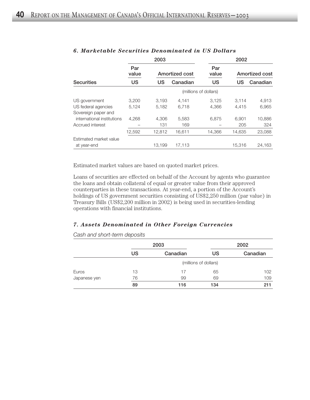|                            |              | 2003   |                |                       | 2002   |                |
|----------------------------|--------------|--------|----------------|-----------------------|--------|----------------|
|                            | Par<br>value |        | Amortized cost | Par<br>value          |        | Amortized cost |
| <b>Securities</b>          | US           | US     | Canadian       | <b>US</b>             | US     | Canadian       |
|                            |              |        |                | (millions of dollars) |        |                |
| US government              | 3.200        | 3.193  | 4.141          | 3.125                 | 3.114  | 4,913          |
| US federal agencies        | 5.124        | 5.182  | 6.718          | 4.366                 | 4.415  | 6,965          |
| Sovereign paper and        |              |        |                |                       |        |                |
| international institutions | 4.268        | 4.306  | 5.583          | 6.875                 | 6.901  | 10,886         |
| Accrued interest           |              | 131    | 169            |                       | 205    | 324            |
|                            | 12,592       | 12,812 | 16,611         | 14,366                | 14,635 | 23,088         |
| Estimated market value     |              |        |                |                       |        |                |
| at year-end                |              | 13.199 | 17.113         |                       | 15.316 | 24.163         |

## *6. Marketable Securities Denominated in US Dollars*

Estimated market values are based on quoted market prices.

Loans of securities are effected on behalf of the Account by agents who guarantee the loans and obtain collateral of equal or greater value from their approved counterparties in these transactions. At year-end, a portion of the Account's holdings of US government securities consisting of US\$2,250 million (par value) in Treasury Bills (US\$2,200 million in 2002) is being used in securities-lending operations with financial institutions.

### *7. Assets Denominated in Other Foreign Currencies*

*Cash and short-term deposits*

|              | 2003      |          |                       | 2002     |  |
|--------------|-----------|----------|-----------------------|----------|--|
|              | <b>US</b> | Canadian | US                    | Canadian |  |
|              |           |          | (millions of dollars) |          |  |
| Euros        | 13        | 17       | 65                    | 102      |  |
| Japanese yen | 76        | 99       | 69                    | 109      |  |
|              | 89        | 116      | 134                   | 211      |  |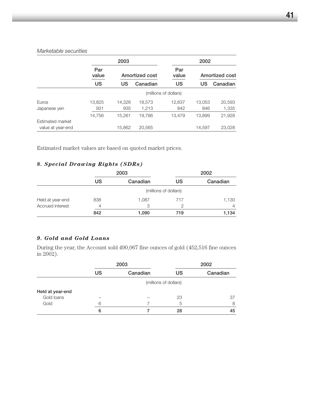#### *Marketable securities*

|                   |              | 2003           |          |                       |                | 2002     |  |
|-------------------|--------------|----------------|----------|-----------------------|----------------|----------|--|
|                   | Par<br>value | Amortized cost |          | Par<br>value          | Amortized cost |          |  |
|                   | <b>US</b>    | US             | Canadian | <b>US</b>             | US             | Canadian |  |
|                   |              |                |          | (millions of dollars) |                |          |  |
| Euros             | 13,825       | 14.326         | 18.573   | 12.637                | 13.053         | 20,593   |  |
| Japanese ven      | 931          | 935            | 1,213    | 842                   | 846            | 1,335    |  |
|                   | 14,756       | 15.261         | 19.786   | 13.479                | 13.899         | 21,928   |  |
| Estimated market  |              |                |          |                       |                |          |  |
| value at year-end |              | 15,862         | 20,565   |                       | 14,597         | 23,028   |  |

Estimated market values are based on quoted market prices.

# *8. Special Drawing Rights (SDRs)*

|                  | 2003                  |          | 2002 |          |  |
|------------------|-----------------------|----------|------|----------|--|
|                  | <b>US</b>             | Canadian | US   | Canadian |  |
|                  | (millions of dollars) |          |      |          |  |
| Held at year-end | 838                   | 1,087    | 717  | 1,130    |  |
| Accrued interest | 4                     | 3        | 2    | 4        |  |
|                  | 842                   | 1,090    | 719  | 1,134    |  |

## *9. Gold and Gold Loans*

During the year, the Account sold 490,067 fine ounces of gold (452,516 fine ounces in 2002).

| 2003                  |          | 2002      |          |  |
|-----------------------|----------|-----------|----------|--|
| <b>US</b>             | Canadian | <b>US</b> | Canadian |  |
| (millions of dollars) |          |           |          |  |
|                       |          |           |          |  |
|                       |          | 23        | 37       |  |
|                       |          | 5         | 8        |  |
| 6                     |          | 28        | 45       |  |
|                       |          |           |          |  |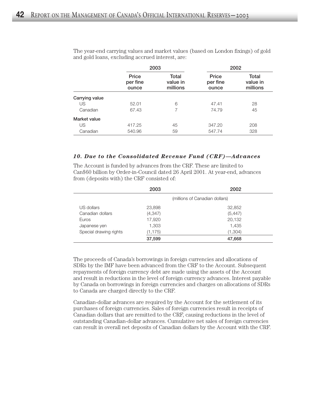|                | 2003                       |                               | 2002                       |                               |
|----------------|----------------------------|-------------------------------|----------------------------|-------------------------------|
|                | Price<br>per fine<br>ounce | Total<br>value in<br>millions | Price<br>per fine<br>ounce | Total<br>value in<br>millions |
| Carrying value |                            |                               |                            |                               |
| US             | 52.01                      | 6                             | 47.41                      | 28                            |
| Canadian       | 67.43                      | 7                             | 74.79                      | 45                            |
| Market value   |                            |                               |                            |                               |
| US             | 417.25                     | 45                            | 347.20                     | 208                           |
| Canadian       | 540.96                     | 59                            | 547.74                     | 328                           |

The year-end carrying values and market values (based on London fixings) of gold and gold loans, excluding accrued interest, are:

#### *10. Due to the Consolidated Revenue Fund (CRF)—Advances*

The Account is funded by advances from the CRF. These are limited to Can\$60 billion by Order-in-Council dated 26 April 2001. At year-end, advances from (deposits with) the CRF consisted of:

|                        | 2003     | 2002                           |
|------------------------|----------|--------------------------------|
|                        |          | (millions of Canadian dollars) |
| US dollars             | 23,898   | 32,852                         |
| Canadian dollars       | (4, 347) | (5, 447)                       |
| Euros                  | 17,920   | 20,132                         |
| Japanese yen           | 1,303    | 1,435                          |
| Special drawing rights | (1, 175) | (1,304)                        |
|                        | 37,599   | 47,668                         |

The proceeds of Canada's borrowings in foreign currencies and allocations of SDRs by the IMF have been advanced from the CRF to the Account. Subsequent repayments of foreign currency debt are made using the assets of the Account and result in reductions in the level of foreign currency advances. Interest payable by Canada on borrowings in foreign currencies and charges on allocations of SDRs to Canada are charged directly to the CRF.

Canadian-dollar advances are required by the Account for the settlement of its purchases of foreign currencies. Sales of foreign currencies result in receipts of Canadian dollars that are remitted to the CRF, causing reductions in the level of outstanding Canadian-dollar advances. Cumulative net sales of foreign currencies can result in overall net deposits of Canadian dollars by the Account with the CRF.